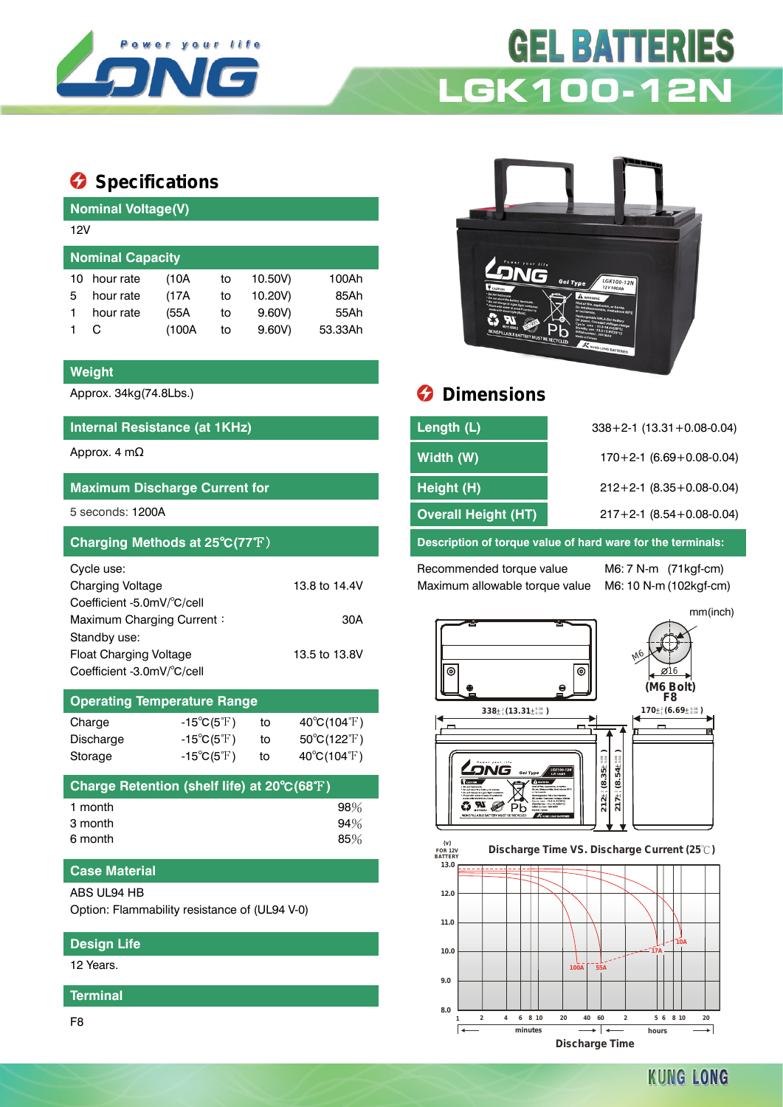

# **GEL BATTERIES LGK100-12N**

# $\bullet$  Specifications

|    | <b>Nominal Voltage(V)</b> |       |    |         |         |  |  |  |  |
|----|---------------------------|-------|----|---------|---------|--|--|--|--|
|    | 12V                       |       |    |         |         |  |  |  |  |
|    | <b>Nominal Capacity</b>   |       |    |         |         |  |  |  |  |
| 10 | hour rate                 | (10A  | to | 10.50V) | 100Ah   |  |  |  |  |
| 5  | hour rate                 | (17A  | to | 10.20V) | 85Ah    |  |  |  |  |
|    | hour rate                 | (55A  | to | 9.60V   | 55Ah    |  |  |  |  |
|    | C                         | (100A | to | 9.60V   | 53.33Ah |  |  |  |  |
|    |                           |       |    |         |         |  |  |  |  |

### **Weight**

## **Internal Resistance (at 1KHz)**

| <b>Maximum Discharge Current for</b> |               |
|--------------------------------------|---------------|
| 5 seconds: 1200A                     |               |
| Charging Methods at 25°C(77°F)       |               |
| Cycle use:                           |               |
| <b>Charging Voltage</b>              | 13.8 to 14.4V |
| Coefficient -5.0mV/°C/cell           |               |
| Maximum Charging Current:            | 30A           |
| Standby use:                         |               |
| <b>Float Charging Voltage</b>        | 13.5 to 13.8V |
| Coefficient -3.0mV/°C/cell           |               |

| <b>Operating Temperature Range</b> |                            |    |                                  |  |  |  |  |
|------------------------------------|----------------------------|----|----------------------------------|--|--|--|--|
| Charge                             | $-15^{\circ}C(5^{\circ}F)$ | to | $40^{\circ}C(104^{\circ}F)$      |  |  |  |  |
| Discharge                          | $-15^{\circ}C(5^{\circ}F)$ | to | $50^{\circ}$ C(122 $^{\circ}$ F) |  |  |  |  |
| Storage                            | $-15^{\circ}C(5^{\circ}F)$ | to | $40^{\circ}C(104^{\circ}F)$      |  |  |  |  |

| Charge Retention (shelf life) at 20°C(68°F) |     |
|---------------------------------------------|-----|
| 1 month                                     | 98% |
| 3 month                                     | 94% |
| 6 month                                     | 85% |

## **Case Material**

ABS UL94 HB

Option: Flammability resistance of (UL94 V-0)

#### **Design Life**

12 Years.

#### **Terminal**

F8



# Approx. 34kg(74.8Lbs.) **Dimensions**

| Internal Resistance (at 1KHz)        | Length (L)                 | $338 + 2 - 1$ (13.31 + 0.08 - 0.04) |
|--------------------------------------|----------------------------|-------------------------------------|
| Approx. 4 m $\Omega$                 | Width (W)                  | $170+2-1$ (6.69 + 0.08-0.04)        |
| <b>Maximum Discharge Current for</b> | Height (H)                 | $212+2-1$ (8.35 + 0.08-0.04)        |
| 5 seconds: 1200A                     | <b>Overall Height (HT)</b> | $217+2-1$ (8.54+0.08-0.04)          |
|                                      |                            |                                     |

Description of torque value of hard ware for the terminals:

Recommended torque value M6: 7 N-m (71kgf-cm) Maximum allowable torque value M6: 10 N-m (102kgf-cm)

mm(inch) M6  $\overline{\odot}$ |ල 16 **(M6 Bolt) F8**  $\triangle$  $338 \pm \frac{2}{3} (13.31 \pm \frac{0.08}{0.04})$   $170 \pm \frac{2}{3} (6.69 \pm \frac{0.08}{0.04})$  $\frac{2}{1}$  (6.69 $\pm$  0.08  $212 \pm 2(8.35 \pm 0.3)$  $217 \pm 2(8.54 \pm 0.025)$ 0.08 0.04 0.08 0.04 LONG  $\alpha$  $\alpha$  $\alpha$   $\alpha$ Ø P<sub>b</sub>